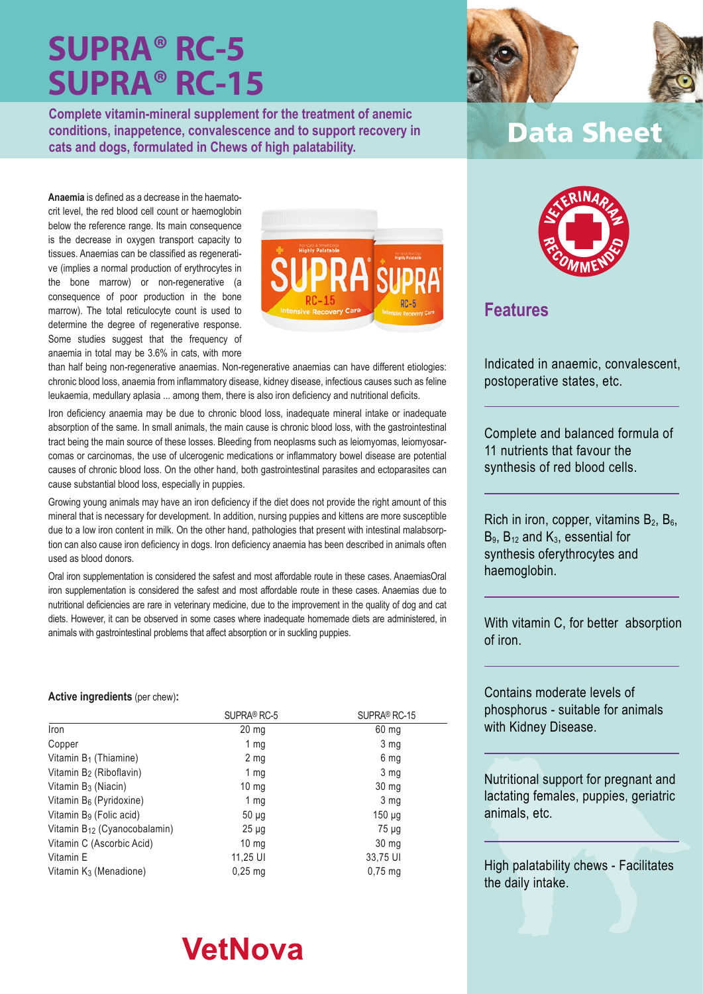**Complete vitamin-mineral supplement for the treatment of anemic conditions, inappetence, convalescence and to support recovery in cats and dogs, formulated in Chews of high palatability.**

**Anaemia** is defined as a decrease in the haematocrit level, the red blood cell count or haemoglobin below the reference range. Its main consequence is the decrease in oxygen transport capacity to tissues. Anaemias can be classified as regenerative (implies a normal production of erythrocytes in the bone marrow) or non-regenerative (a consequence of poor production in the bone marrow). The total reticulocyte count is used to determine the degree of regenerative response. Some studies suggest that the frequency of anaemia in total may be 3.6% in cats, with more



than half being non-regenerative anaemias. Non-regenerative anaemias can have different etiologies: chronic blood loss, anaemia from inflammatory disease, kidney disease, infectious causes such as feline leukaemia, medullary aplasia ... among them, there is also iron deficiency and nutritional deficits.

Iron deficiency anaemia may be due to chronic blood loss, inadequate mineral intake or inadequate absorption of the same. In small animals, the main cause is chronic blood loss, with the gastrointestinal tract being the main source of these losses. Bleeding from neoplasms such as leiomyomas, leiomyosarcomas or carcinomas, the use of ulcerogenic medications or inflammatory bowel disease are potential causes of chronic blood loss. On the other hand, both gastrointestinal parasites and ectoparasites can cause substantial blood loss, especially in puppies.

Growing young animals may have an iron deficiency if the diet does not provide the right amount of this mineral that is necessary for development. In addition, nursing puppies and kittens are more susceptible due to a low iron content in milk. On the other hand, pathologies that present with intestinal malabsorption can also cause iron deficiency in dogs. Iron deficiency anaemia has been described in animals often used as blood donors.

Oral iron supplementation is considered the safest and most affordable route in these cases. AnaemiasOral iron supplementation is considered the safest and most affordable route in these cases. Anaemias due to nutritional deficiencies are rare in veterinary medicine, due to the improvement in the quality of dog and cat diets. However, it can be observed in some cases where inadequate homemade diets are administered, in animals with gastrointestinal problems that affect absorption or in suckling puppies.

#### **Active ingredients** (per chew)**:**

|                                          | SUPRA <sup>®</sup> RC-5 | SUPRA <sup>®</sup> RC-15 |
|------------------------------------------|-------------------------|--------------------------|
| Iron                                     | $20 \text{ mg}$         | $60$ mg                  |
| Copper                                   | 1 mg                    | 3 mg                     |
| Vitamin B <sub>1</sub> (Thiamine)        | 2 <sub>mg</sub>         | 6 mg                     |
| Vitamin B <sub>2</sub> (Riboflavin)      | 1 mg                    | 3 mg                     |
| Vitamin B <sub>3</sub> (Niacin)          | $10 \text{ mg}$         | $30 \, mg$               |
| Vitamin B <sub>6</sub> (Pyridoxine)      | 1 $mg$                  | 3 mg                     |
| Vitamin B <sub>9</sub> (Folic acid)      | $50 \mu$ g              | $150 \mu g$              |
| Vitamin B <sub>12</sub> (Cyanocobalamin) | $25 \mu g$              | 75 µg                    |
| Vitamin C (Ascorbic Acid)                | $10 \text{ mg}$         | 30 <sub>mg</sub>         |
| Vitamin E                                | 11,25 UI                | 33,75 UI                 |
| Vitamin K <sub>3</sub> (Menadione)       | $0.25$ mg               | $0.75$ mg                |



### **Data Sheet**



### **Features**

Indicated in anaemic, convalescent, postoperative states, etc.

Complete and balanced formula of 11 nutrients that favour the synthesis of red blood cells.

Rich in iron, copper, vitamins  $B_2$ ,  $B_6$ ,  $B_9$ ,  $B_{12}$  and  $K_3$ , essential for synthesis oferythrocytes and haemoglobin.

With vitamin C, for better absorption of iron.

Contains moderate levels of phosphorus - suitable for animals with Kidney Disease.

Nutritional support for pregnant and lactating females, puppies, geriatric animals, etc.

High palatability chews - Facilitates the daily intake.

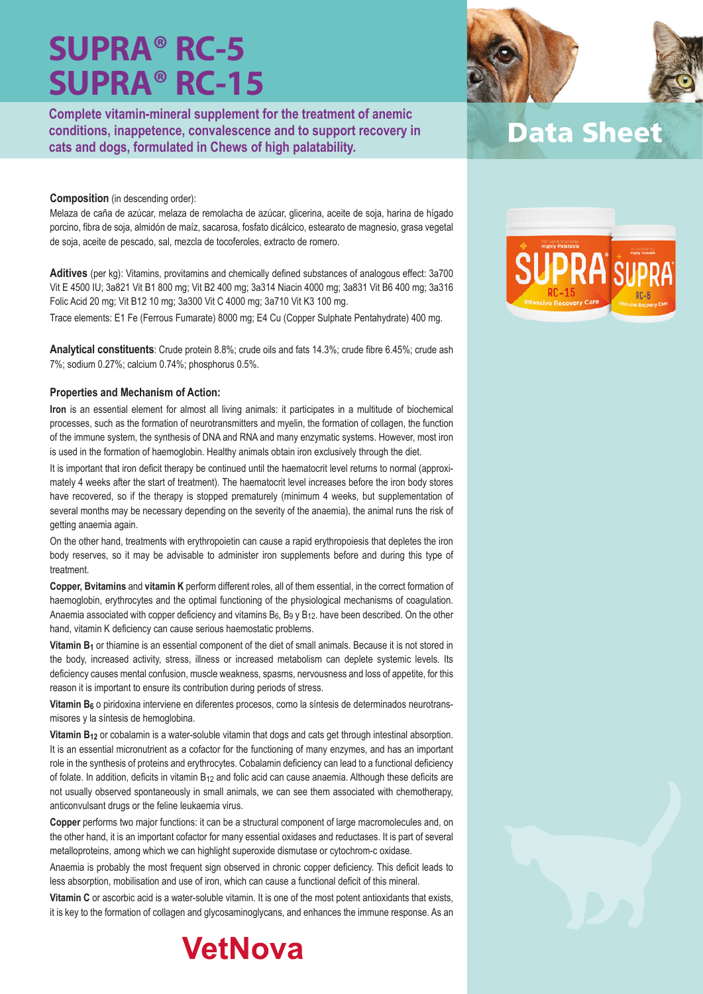**Complete vitamin-mineral supplement for the treatment of anemic conditions, inappetence, convalescence and to support recovery in cats and dogs, formulated in Chews of high palatability.**

#### **Composition** (in descending order):

Melaza de caña de azúcar, melaza de remolacha de azúcar, glicerina, aceite de soja, harina de hígado porcino, fibra de soja, almidón de maíz, sacarosa, fosfato dicálcico, estearato de magnesio, grasa vegetal de soja, aceite de pescado, sal, mezcla de tocoferoles, extracto de romero.

**Aditives** (per kg): Vitamins, provitamins and chemically defined substances of analogous effect: 3a700 Vit E 4500 IU; 3a821 Vit B1 800 mg; Vit B2 400 mg; 3a314 Niacin 4000 mg; 3a831 Vit B6 400 mg; 3a316 Folic Acid 20 mg; Vit B12 10 mg; 3a300 Vit C 4000 mg; 3a710 Vit K3 100 mg.

Trace elements: E1 Fe (Ferrous Fumarate) 8000 mg; E4 Cu (Copper Sulphate Pentahydrate) 400 mg.

**Analytical constituents**: Crude protein 8.8%; crude oils and fats 14.3%; crude fibre 6.45%; crude ash 7%; sodium 0.27%; calcium 0.74%; phosphorus 0.5%.

#### **Properties and Mechanism of Action:**

**Iron** is an essential element for almost all living animals: it participates in a multitude of biochemical processes, such as the formation of neurotransmitters and myelin, the formation of collagen, the function of the immune system, the synthesis of DNA and RNA and many enzymatic systems. However, most iron is used in the formation of haemoglobin. Healthy animals obtain iron exclusively through the diet.

It is important that iron deficit therapy be continued until the haematocrit level returns to normal (approximately 4 weeks after the start of treatment). The haematocrit level increases before the iron body stores have recovered, so if the therapy is stopped prematurely (minimum 4 weeks, but supplementation of several months may be necessary depending on the severity of the anaemia), the animal runs the risk of getting anaemia again.

On the other hand, treatments with erythropoietin can cause a rapid erythropoiesis that depletes the iron body reserves, so it may be advisable to administer iron supplements before and during this type of treatment.

**Copper, Bvitamins** and **vitamin K** perform different roles, all of them essential, in the correct formation of haemoglobin, erythrocytes and the optimal functioning of the physiological mechanisms of coagulation. Anaemia associated with copper deficiency and vitamins  $B_6$ ,  $B_9$  y  $B_{12}$ . have been described. On the other hand, vitamin K deficiency can cause serious haemostatic problems.

**Vitamin B<sub>1</sub>** or thiamine is an essential component of the diet of small animals. Because it is not stored in the body, increased activity, stress, illness or increased metabolism can deplete systemic levels. Its deficiency causes mental confusion, muscle weakness, spasms, nervousness and loss of appetite, for this reason it is important to ensure its contribution during periods of stress.

Vitamin B<sub>6</sub> o piridoxina interviene en diferentes procesos, como la síntesis de determinados neurotransmisores y la síntesis de hemoglobina.

**Vitamin B12** or cobalamin is a water-soluble vitamin that dogs and cats get through intestinal absorption. It is an essential micronutrient as a cofactor for the functioning of many enzymes, and has an important role in the synthesis of proteins and erythrocytes. Cobalamin deficiency can lead to a functional deficiency of folate. In addition, deficits in vitamin B12 and folic acid can cause anaemia. Although these deficits are not usually observed spontaneously in small animals, we can see them associated with chemotherapy, anticonvulsant drugs or the feline leukaemia virus.

**Copper** performs two major functions: it can be a structural component of large macromolecules and, on the other hand, it is an important cofactor for many essential oxidases and reductases. It is part of several metalloproteins, among which we can highlight superoxide dismutase or cytochrom-c oxidase.

Anaemia is probably the most frequent sign observed in chronic copper deficiency. This deficit leads to less absorption, mobilisation and use of iron, which can cause a functional deficit of this mineral.

**Vitamin C** or ascorbic acid is a water-soluble vitamin. It is one of the most potent antioxidants that exists, it is key to the formation of collagen and glycosaminoglycans, and enhances the immune response. As an







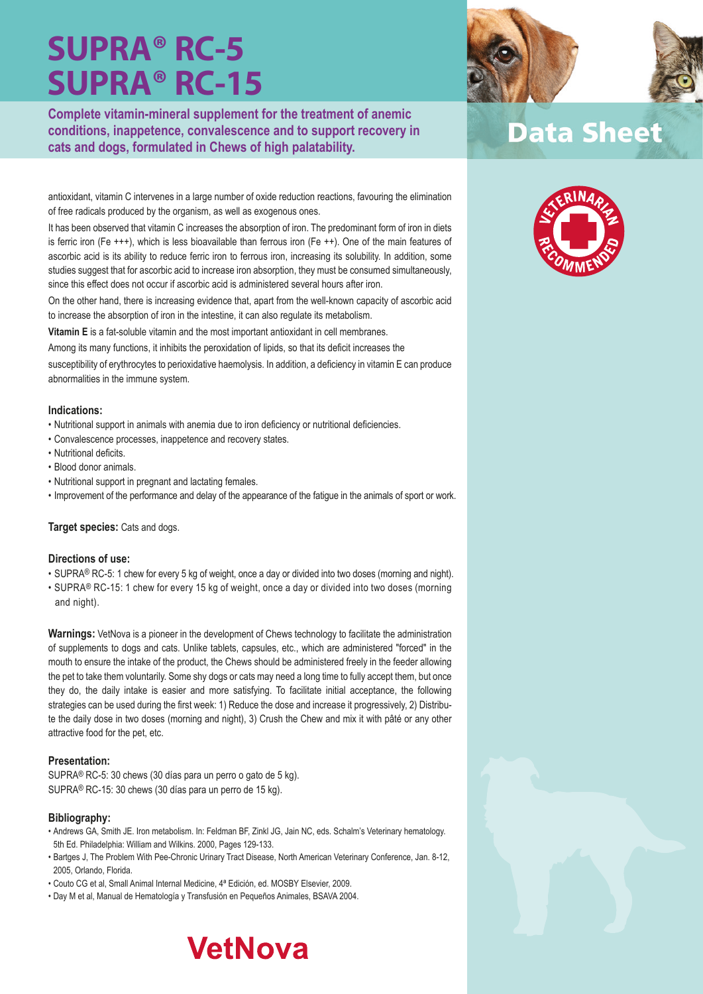**Complete vitamin-mineral supplement for the treatment of anemic conditions, inappetence, convalescence and to support recovery in cats and dogs, formulated in Chews of high palatability.**

antioxidant, vitamin C intervenes in a large number of oxide reduction reactions, favouring the elimination of free radicals produced by the organism, as well as exogenous ones.

It has been observed that vitamin C increases the absorption of iron. The predominant form of iron in diets is ferric iron (Fe +++), which is less bioavailable than ferrous iron (Fe ++). One of the main features of ascorbic acid is its ability to reduce ferric iron to ferrous iron, increasing its solubility. In addition, some studies suggest that for ascorbic acid to increase iron absorption, they must be consumed simultaneously, since this effect does not occur if ascorbic acid is administered several hours after iron.

On the other hand, there is increasing evidence that, apart from the well-known capacity of ascorbic acid to increase the absorption of iron in the intestine, it can also regulate its metabolism.

**Vitamin E** is a fat-soluble vitamin and the most important antioxidant in cell membranes.

Among its many functions, it inhibits the peroxidation of lipids, so that its deficit increases the

susceptibility of erythrocytes to perioxidative haemolysis. In addition, a deficiency in vitamin E can produce abnormalities in the immune system.

#### **Indications:**

- Nutritional support in animals with anemia due to iron deficiency or nutritional deficiencies.
- Convalescence processes, inappetence and recovery states.
- Nutritional deficits.
- Blood donor animals.
- Nutritional support in pregnant and lactating females.
- Improvement of the performance and delay of the appearance of the fatigue in the animals of sport or work.

#### **Target species:** Cats and dogs.

#### **Directions of use:**

- SUPRA® RC-5: 1 chew for every 5 kg of weight, once a day or divided into two doses (morning and night).
- SUPRA® RC-15: 1 chew for every 15 kg of weight, once a day or divided into two doses (morning and night).

**Warnings:** VetNova is a pioneer in the development of Chews technology to facilitate the administration of supplements to dogs and cats. Unlike tablets, capsules, etc., which are administered "forced" in the mouth to ensure the intake of the product, the Chews should be administered freely in the feeder allowing the pet to take them voluntarily. Some shy dogs or cats may need a long time to fully accept them, but once they do, the daily intake is easier and more satisfying. To facilitate initial acceptance, the following strategies can be used during the first week: 1) Reduce the dose and increase it progressively, 2) Distribute the daily dose in two doses (morning and night), 3) Crush the Chew and mix it with pâté or any other attractive food for the pet, etc.

#### **Presentation:**

SUPRA® RC-5: 30 chews (30 días para un perro o gato de 5 kg). SUPRA® RC-15: 30 chews (30 días para un perro de 15 kg).

#### **Bibliography:**

- Andrews GA, Smith JE. Iron metabolism. In: Feldman BF, Zinkl JG, Jain NC, eds. Schalm's Veterinary hematology. 5th Ed. Philadelphia: William and Wilkins. 2000, Pages 129-133.
- Bartges J, The Problem With Pee-Chronic Urinary Tract Disease, North American Veterinary Conference, Jan. 8-12, 2005, Orlando, Florida.
- Couto CG et al, Small Animal Internal Medicine, 4ª Edición, ed. MOSBY Elsevier, 2009.
- Day M et al, Manual de Hematología y Transfusión en Pequeños Animales, BSAVA 2004.







### **Data Sheet**